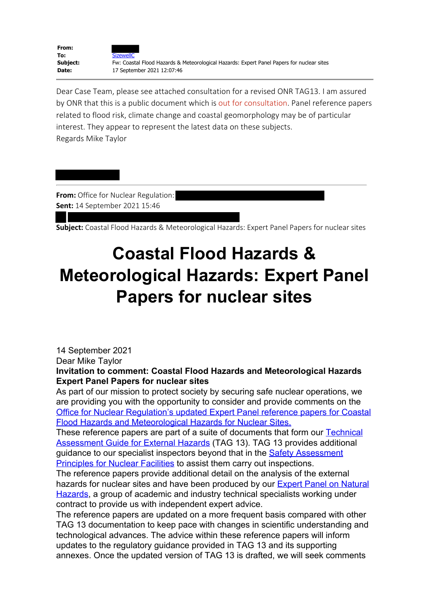

Dear Case Team, please see attached consultation for a revised ONR TAG13. I am assured by ONR that this is a public document which is out for consultation. Panel reference papers related to flood risk, climate change and coastal geomorphology may be of particular interest. They appear to represent the latest data on these subjects. Regards Mike Taylor

**From:** Office for Nuclear Regulation:

**Sent:** 14 September 2021 15:46

**Subject:** Coastal Flood Hazards & Meteorological Hazards: Expert Panel Papers for nuclear sites

## **Coastal Flood Hazards & Meteorological Hazards: Expert Panel Papers for nuclear sites**

14 September 2021 Dear Mike Taylor **Invitation to comment: Coastal Flood Hazards and Meteorological Hazards Expert Panel Papers for nuclear sites**

As part of our mission to protect society by securing safe nuclear operations, we are providing you with the opportunity to consider and provide comments on the Office for Nuclear Regulation's updated Expert Panel reference papers for Coastal Flood Hazards and Meteorological Hazards for Nuclear Sites.

These reference papers are part of a suite of documents that form our **Technical** Assessment Guide for External Hazards (TAG 13). TAG 13 provides additional guidance to our specialist inspectors beyond that in the **Safety Assessment** Principles for Nuclear Facilities to assist them carry out inspections.

The reference papers provide additional detail on the analysis of the external hazards for nuclear sites and have been produced by our **Expert Panel on Natural** Hazards, a group of academic and industry technical specialists working under contract to provide us with independent expert advice.

The reference papers are updated on a more frequent basis compared with other TAG 13 documentation to keep pace with changes in scientific understanding and technological advances. The advice within these reference papers will inform updates to the regulatory guidance provided in TAG 13 and its supporting annexes. Once the updated version of TAG 13 is drafted, we will seek comments